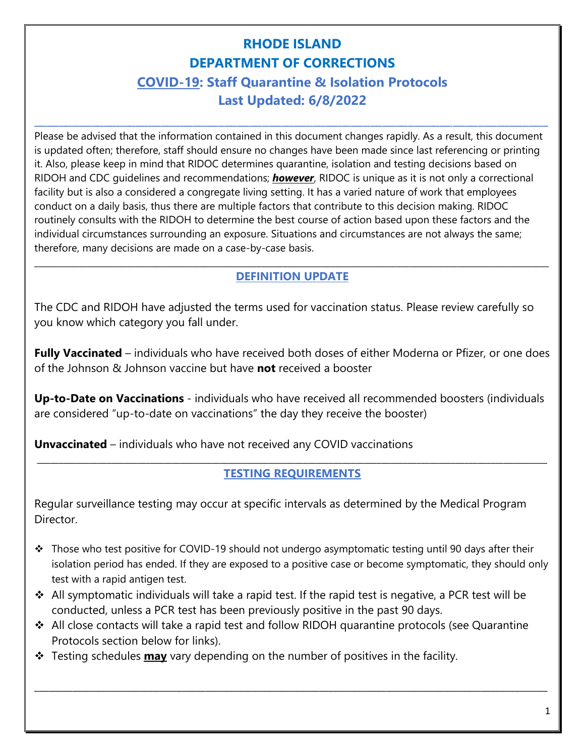# **RHODE ISLAND DEPARTMENT OF CORRECTIONS COVID-19: Staff Quarantine & Isolation Protocols Last Updated: 6/8/2022**

**\_\_\_\_\_\_\_\_\_\_\_\_\_\_\_\_\_\_\_\_\_\_\_\_\_\_\_\_\_\_\_\_\_\_\_\_\_\_\_\_\_\_\_\_\_\_\_\_\_\_\_\_\_\_\_\_\_\_\_\_\_\_\_\_\_\_\_\_\_\_\_\_\_\_\_\_\_\_\_\_\_**

Please be advised that the information contained in this document changes rapidly. As a result, this document is updated often; therefore, staff should ensure no changes have been made since last referencing or printing it. Also, please keep in mind that RIDOC determines quarantine, isolation and testing decisions based on RIDOH and CDC guidelines and recommendations; *however*, RIDOC is unique as it is not only a correctional facility but is also a considered a congregate living setting. It has a varied nature of work that employees conduct on a daily basis, thus there are multiple factors that contribute to this decision making. RIDOC routinely consults with the RIDOH to determine the best course of action based upon these factors and the individual circumstances surrounding an exposure. Situations and circumstances are not always the same; therefore, many decisions are made on a case-by-case basis.

#### **\_\_\_\_\_\_\_\_\_\_\_\_\_\_\_\_\_\_\_\_\_\_\_\_\_\_\_\_\_\_\_\_\_\_\_\_\_\_\_\_\_\_\_\_\_\_\_\_\_\_\_\_\_\_\_\_\_\_\_\_\_\_\_\_\_\_\_\_\_\_\_\_\_\_\_\_\_\_\_\_\_\_\_\_\_\_\_\_\_\_\_\_\_\_\_\_\_\_\_\_\_\_\_\_\_\_\_\_\_\_\_\_\_\_\_\_\_\_ DEFINITION UPDATE**

The CDC and RIDOH have adjusted the terms used for vaccination status. Please review carefully so you know which category you fall under.

**Fully Vaccinated** – individuals who have received both doses of either Moderna or Pfizer, or one does of the Johnson & Johnson vaccine but have **not** received a booster

**Up-to-Date on Vaccinations** - individuals who have received all recommended boosters (individuals are considered "up-to-date on vaccinations" the day they receive the booster)

**Unvaccinated** – individuals who have not received any COVID vaccinations

#### **\_\_\_\_\_\_\_\_\_\_\_\_\_\_\_\_\_\_\_\_\_\_\_\_\_\_\_\_\_\_\_\_\_\_\_\_\_\_\_\_\_\_\_\_\_\_\_\_\_\_\_\_\_\_\_\_\_\_\_\_\_\_\_\_\_\_\_\_\_\_\_\_\_\_\_\_\_\_\_\_\_\_\_\_\_\_\_\_\_\_\_\_\_\_\_\_\_\_\_\_\_\_\_\_\_\_\_\_\_\_\_\_\_\_\_\_\_ TESTING REQUIREMENTS**

Regular surveillance testing may occur at specific intervals as determined by the Medical Program Director.

- $\div$  Those who test positive for COVID-19 should not undergo asymptomatic testing until 90 days after their isolation period has ended. If they are exposed to a positive case or become symptomatic, they should only test with a rapid antigen test.
- ❖ All symptomatic individuals will take a rapid test. If the rapid test is negative, a PCR test will be conducted, unless a PCR test has been previously positive in the past 90 days.
- ❖ All close contacts will take a rapid test and follow RIDOH quarantine protocols (see Quarantine Protocols section below for links).

 $\_$  ,  $\_$  ,  $\_$  ,  $\_$  ,  $\_$  ,  $\_$  ,  $\_$  ,  $\_$  ,  $\_$  ,  $\_$  ,  $\_$  ,  $\_$  ,  $\_$  ,  $\_$  ,  $\_$  ,  $\_$  ,  $\_$  ,  $\_$  ,  $\_$  ,  $\_$  ,  $\_$  ,  $\_$  ,  $\_$  ,  $\_$  ,  $\_$  ,  $\_$  ,  $\_$  ,  $\_$  ,  $\_$  ,  $\_$  ,  $\_$  ,  $\_$  ,  $\_$  ,  $\_$  ,  $\_$  ,  $\_$  ,  $\_$  ,

❖ Testing schedules **may** vary depending on the number of positives in the facility.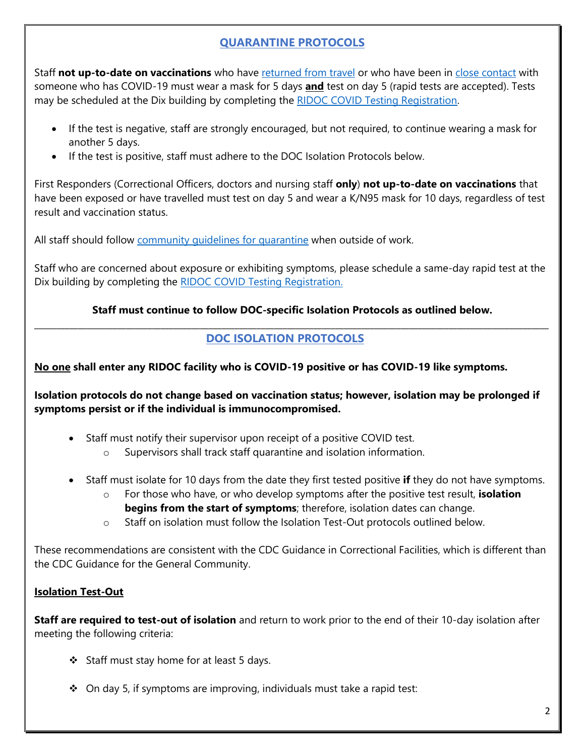# **QUARANTINE PROTOCOLS**

Staff **not up-to-date on vaccinations** who have [returned from travel](https://covid.ri.gov/covid-19-prevention/travel-tofrom-ri) or who have been in [close contact](https://covid.ri.gov/covid-19-prevention/quarantine-and-isolation) with someone who has COVID-19 must wear a mask for 5 days **and** test on day 5 (rapid tests are accepted). Tests may be scheduled at the Dix building by completing the [RIDOC COVID Testing Registration.](https://www.surveymonkey.com/r/DTMW9RR)

- If the test is negative, staff are strongly encouraged, but not required, to continue wearing a mask for another 5 days.
- If the test is positive, staff must adhere to the DOC Isolation Protocols below.

First Responders (Correctional Officers, doctors and nursing staff **only**) **not up-to-date on vaccinations** that have been exposed or have travelled must test on day 5 and wear a K/N95 mask for 10 days, regardless of test result and vaccination status.

All staff should follow [community guidelines for quarantine](https://covid.ri.gov/covid-19-prevention/quarantine-and-isolation) when outside of work.

Staff who are concerned about exposure or exhibiting symptoms, please schedule a same-day rapid test at the Dix building by completing the [RIDOC COVID Testing Registration.](https://www.surveymonkey.com/r/DTMW9RR)

#### **Staff must continue to follow DOC-specific Isolation Protocols as outlined below. \_\_\_\_\_\_\_\_\_\_\_\_\_\_\_\_\_\_\_\_\_\_\_\_\_\_\_\_\_\_\_\_\_\_\_\_\_\_\_\_\_\_\_\_\_\_\_\_\_\_\_\_\_\_\_\_\_\_\_\_\_\_\_\_\_\_\_\_\_\_\_\_\_\_\_\_\_\_\_\_\_\_\_\_\_\_\_\_\_\_\_\_\_\_\_\_\_\_\_\_\_\_\_\_\_\_\_\_\_\_\_\_\_\_\_\_\_\_**

# **DOC ISOLATION PROTOCOLS**

## **No one shall enter any RIDOC facility who is COVID-19 positive or has COVID-19 like symptoms.**

**Isolation protocols do not change based on vaccination status; however, isolation may be prolonged if symptoms persist or if the individual is immunocompromised.** 

- Staff must notify their supervisor upon receipt of a positive COVID test.
	- o Supervisors shall track staff quarantine and isolation information.
- Staff must isolate for 10 days from the date they first tested positive **if** they do not have symptoms.
	- o For those who have, or who develop symptoms after the positive test result, **isolation begins from the start of symptoms**; therefore, isolation dates can change.
	- o Staff on isolation must follow the Isolation Test-Out protocols outlined below.

These recommendations are consistent with the CDC Guidance in Correctional Facilities, which is different than the CDC Guidance for the General Community.

## **Isolation Test-Out**

**Staff are required to test-out of isolation** and return to work prior to the end of their 10-day isolation after meeting the following criteria:

- ❖ Staff must stay home for at least 5 days.
- ❖ On day 5, if symptoms are improving, individuals must take a rapid test: